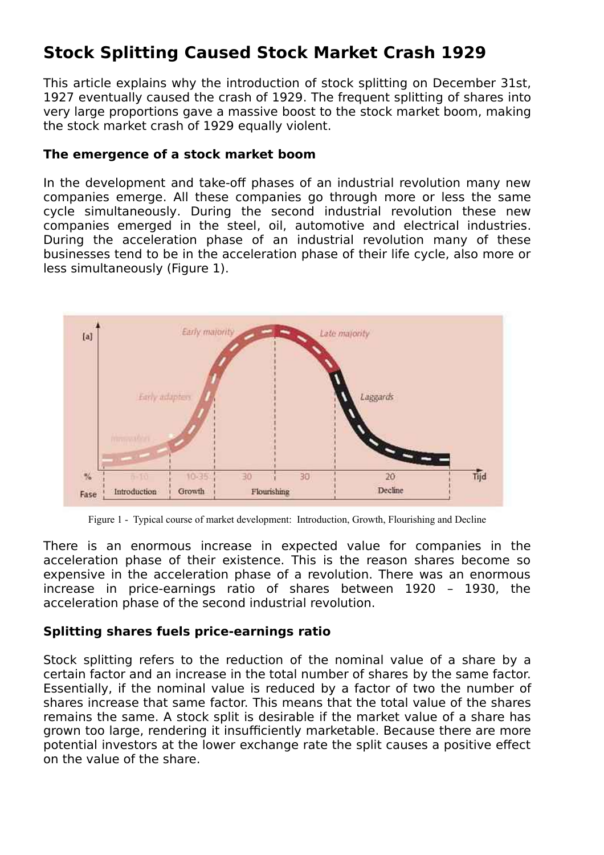# **Stock Splitting Caused Stock Market Crash 1929**

This article explains why the introduction of stock splitting on December 31st, 1927 eventually caused the crash of 1929. The frequent splitting of shares into very large proportions gave a massive boost to the stock market boom, making the stock market crash of 1929 equally violent.

## **The emergence of a stock market boom**

In the development and take-off phases of an industrial revolution many new companies emerge. All these companies go through more or less the same cycle simultaneously. During the second industrial revolution these new companies emerged in the steel, oil, automotive and electrical industries. During the acceleration phase of an industrial revolution many of these businesses tend to be in the acceleration phase of their life cycle, also more or less simultaneously (Figure 1).



Figure 1 - Typical course of market development: Introduction, Growth, Flourishing and Decline

There is an enormous increase in expected value for companies in the acceleration phase of their existence. This is the reason shares become so expensive in the acceleration phase of a revolution. There was an enormous increase in price-earnings ratio of shares between 1920 – 1930, the acceleration phase of the second industrial revolution.

## **Splitting shares fuels price-earnings ratio**

Stock splitting refers to the reduction of the nominal value of a share by a certain factor and an increase in the total number of shares by the same factor. Essentially, if the nominal value is reduced by a factor of two the number of shares increase that same factor. This means that the total value of the shares remains the same. A stock split is desirable if the market value of a share has grown too large, rendering it insufficiently marketable. Because there are more potential investors at the lower exchange rate the split causes a positive effect on the value of the share.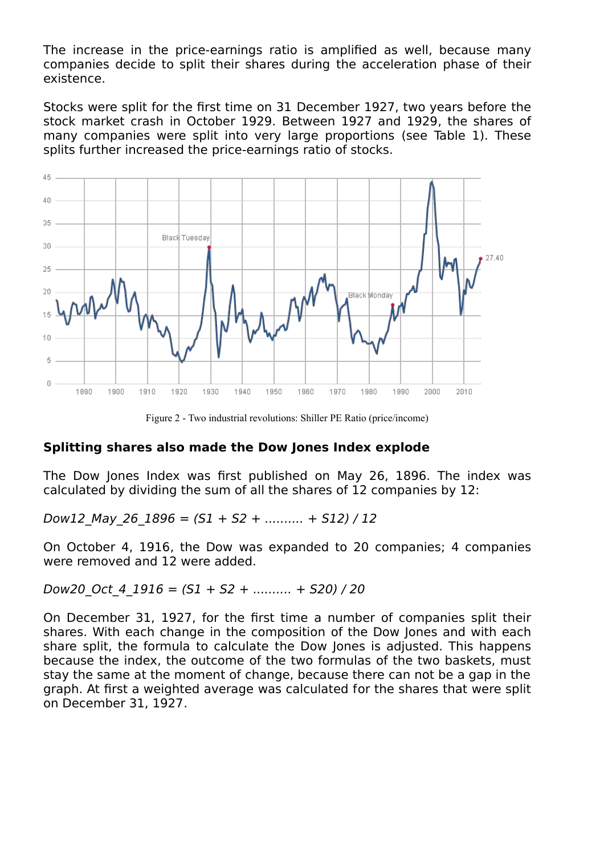The increase in the price-earnings ratio is amplified as well, because many companies decide to split their shares during the acceleration phase of their existence.

Stocks were split for the first time on 31 December 1927, two years before the stock market crash in October 1929. Between 1927 and 1929, the shares of many companies were split into very large proportions (see Table 1). These splits further increased the price-earnings ratio of stocks.



Figure 2 - Two industrial revolutions: Shiller PE Ratio (price/income)

### **Splitting shares also made the Dow Jones Index explode**

The Dow Jones Index was first published on May 26, 1896. The index was calculated by dividing the sum of all the shares of 12 companies by 12:

Dow12 May 26 1896 =  $(S1 + S2 + ... + S12) / 12$ 

On October 4, 1916, the Dow was expanded to 20 companies; 4 companies were removed and 12 were added.

Dow20 Oct 4  $1916 = (S1 + S2 + ... + S20) / 20$ 

On December 31, 1927, for the first time a number of companies split their shares. With each change in the composition of the Dow Jones and with each share split, the formula to calculate the Dow Jones is adjusted. This happens because the index, the outcome of the two formulas of the two baskets, must stay the same at the moment of change, because there can not be a gap in the graph. At first a weighted average was calculated for the shares that were split on December 31, 1927.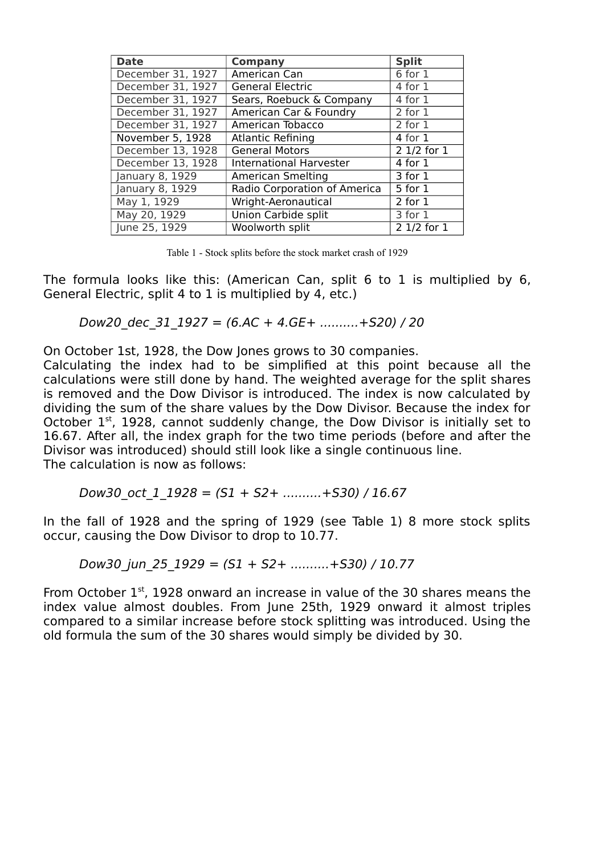| <b>Date</b>       | <b>Company</b>                 | <b>Split</b>           |
|-------------------|--------------------------------|------------------------|
| December 31, 1927 | American Can                   | $6$ for $1$            |
| December 31, 1927 | <b>General Electric</b>        | 4 for 1                |
| December 31, 1927 | Sears, Roebuck & Company       | 4 for 1                |
| December 31, 1927 | American Car & Foundry         | 2 for 1                |
| December 31, 1927 | American Tobacco               | 2 for 1                |
| November 5, 1928  | <b>Atlantic Refining</b>       | 4 for 1                |
| December 13, 1928 | <b>General Motors</b>          | 2 1/2 for 1            |
| December 13, 1928 | <b>International Harvester</b> | 4 for 1                |
| January 8, 1929   | <b>American Smelting</b>       | $\overline{3}$ for $1$ |
| January 8, 1929   | Radio Corporation of America   | 5 for 1                |
| May 1, 1929       | Wright-Aeronautical            | $2$ for $1$            |
| May 20, 1929      | <b>Union Carbide split</b>     | 3 for 1                |
| June 25, 1929     | Woolworth split                | 2 1/2 for 1            |

Table 1 - Stock splits before the stock market crash of 1929

The formula looks like this: (American Can, split 6 to 1 is multiplied by 6, General Electric, split 4 to 1 is multiplied by 4, etc.)

Dow20 dec 31  $1927 = (6.AC + 4.GE + ... + S20) / 20$ 

On October 1st, 1928, the Dow Jones grows to 30 companies.

Calculating the index had to be simplified at this point because all the calculations were still done by hand. The weighted average for the split shares is removed and the Dow Divisor is introduced. The index is now calculated by dividing the sum of the share values by the Dow Divisor. Because the index for October 1<sup>st</sup>, 1928, cannot suddenly change, the Dow Divisor is initially set to 16.67. After all, the index graph for the two time periods (before and after the Divisor was introduced) should still look like a single continuous line. The calculation is now as follows:

Dow30 oct 1 1928 =  $(S1 + S2 + ... + S30) / 16.67$ 

In the fall of 1928 and the spring of 1929 (see Table 1) 8 more stock splits occur, causing the Dow Divisor to drop to 10.77.

Dow30 jun 25 1929 =  $(S1 + S2 +$  ..........+S30) / 10.77

From October 1<sup>st</sup>, 1928 onward an increase in value of the 30 shares means the index value almost doubles. From June 25th, 1929 onward it almost triples compared to a similar increase before stock splitting was introduced. Using the old formula the sum of the 30 shares would simply be divided by 30.